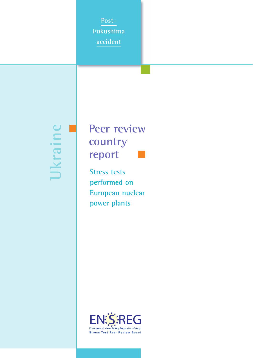**Post-Fukushima accident**

**Ukraine**



**Stress tests performed on European nuclear power plants**

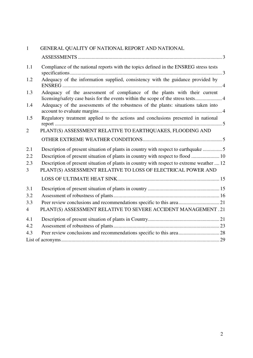| $\mathbf{1}$   | GENERAL QUALITY OF NATIONAL REPORT AND NATIONAL                                                                                                                |  |  |
|----------------|----------------------------------------------------------------------------------------------------------------------------------------------------------------|--|--|
|                |                                                                                                                                                                |  |  |
| 1.1            | Compliance of the national reports with the topics defined in the ENSREG stress tests                                                                          |  |  |
| 1.2            | Adequacy of the information supplied, consistency with the guidance provided by                                                                                |  |  |
| 1.3            | Adequacy of the assessment of compliance of the plants with their current<br>licensing/safety case basis for the events within the scope of the stress tests 4 |  |  |
| 1.4            | Adequacy of the assessments of the robustness of the plants: situations taken into                                                                             |  |  |
| 1.5            | Regulatory treatment applied to the actions and conclusions presented in national                                                                              |  |  |
| $\overline{2}$ | PLANT(S) ASSESSMENT RELATIVE TO EARTHQUAKES, FLOODING AND                                                                                                      |  |  |
|                |                                                                                                                                                                |  |  |
| 2.1            | Description of present situation of plants in country with respect to earthquake                                                                               |  |  |
| 2.2            | Description of present situation of plants in country with respect to flood  10                                                                                |  |  |
| 2.3            | Description of present situation of plants in country with respect to extreme weather  12                                                                      |  |  |
| $\overline{3}$ | PLANT(S) ASSESSMENT RELATIVE TO LOSS OF ELECTRICAL POWER AND                                                                                                   |  |  |
|                |                                                                                                                                                                |  |  |
| 3.1            |                                                                                                                                                                |  |  |
| 3.2            |                                                                                                                                                                |  |  |
| 3.3            |                                                                                                                                                                |  |  |
| $\overline{4}$ | PLANT(S) ASSESSMENT RELATIVE TO SEVERE ACCIDENT MANAGEMENT. 21                                                                                                 |  |  |
| 4.1            |                                                                                                                                                                |  |  |
| 4.2            |                                                                                                                                                                |  |  |
| 4.3            |                                                                                                                                                                |  |  |
|                |                                                                                                                                                                |  |  |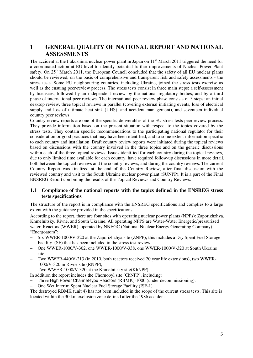# **1 GENERAL QUALITY OF NATIONAL REPORT AND NATIONAL ASSESSMENTS**

The accident at the Fukushima nuclear power plant in Japan on  $11<sup>th</sup>$  March 2011 triggered the need for a coordinated action at EU level to identify potential further improvements of Nuclear Power Plant safety. On 25<sup>th</sup> March 2011, the European Council concluded that the safety of all EU nuclear plants should be reviewed, on the basis of comprehensive and transparent risk and safety assessments - the stress tests. Some EU neighbouring countries, including Ukraine, joined the stress tests exercise as well as the ensuing peer-review process. The stress tests consist in three main steps: a self-assessment by licensees, followed by an independent review by the national regulatory bodies, and by a third phase of international peer reviews. The international peer review phase consists of 3 steps: an initial desktop review, three topical reviews in parallel (covering external initiating events, loss of electrical supply and loss of ultimate heat sink (UHS), and accident management), and seventeen individual country peer reviews.

Country review reports are one of the specific deliverables of the EU stress tests peer review process. They provide information based on the present situation with respect to the topics covered by the stress tests. They contain specific recommendations to the participating national regulator for their consideration or good practices that may have been identified, and to some extent information specific to each country and installation. Draft country review reports were initiated during the topical reviews based on discussions with the country involved in the three topics and on the generic discussions within each of the three topical reviews. Issues identified for each country during the topical reviews, due to only limited time available for each country, have required follow-up discussions in more detail, both between the topical reviews and the country reviews, and during the country reviews. The current Country Report was finalized at the end of the Country Review, after final discussion with the reviewed country and visit to the South Ukraine nuclear power plant (SUNPP). It is a part of the Final ENSREG Report combining the results of the Topical Reviews and Country Reviews.

# **1.1 Compliance of the national reports with the topics defined in the ENSREG stress tests specifications**

The structure of the report is in compliance with the ENSREG specifications and complies to a large extent with the guidance provided in the specifications.

According to the report, there are four sites with operating nuclear power plants (NPPs): Zaporizhzhya, Khmelnitsky, Rivne, and South Ukraine. All operating NPPS are Water-Water Energetic/pressurized water Reactors (WWER), operated by NNEGC (National Nuclear Energy Generating Company) "Energoatom":

- Six WWER-1000/V-320 at the Zaporizhzhya site (ZNPP); this includes a Dry Spent Fuel Storage Facility (SF) that has been included in the stress test review,
- One WWER-1000/V-302, one WWER-1000/V-338, one WWER-1000/V-320 at South Ukraine site,
- Two WWER-440/V-213 (in 2010, both reactors received 20 year life extensions), two WWER-1000/V-320 in Rivne site (RNPP),
- Two WWER-1000/V-320 at the Khmelnitsky site(KhNPP).
- In addition the report includes the Chornobyl site (ChNPP), including:
- Three High Power Channel-type Reactors (RBMK)-1000 (under decommissioning),
- One Wet Interim Spent Nuclear Fuel Storage Facility (ISF-1).

The destroyed RBMK (unit 4) has not been included in the scope of the current stress tests. This site is located within the 30 km exclusion zone defined after the 1986 accident.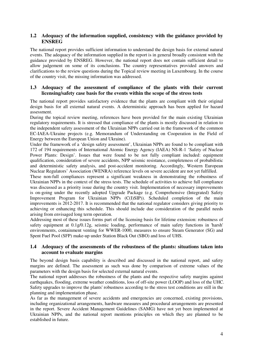# **1.2 Adequacy of the information supplied, consistency with the guidance provided by ENSREG**

The national report provides sufficient information to understand the design basis for external natural events. The adequacy of the information supplied in the report is in general broadly consistent with the guidance provided by ENSREG. However, the national report does not contain sufficient detail to allow judgement on some of its conclusions. The country representatives provided answers and clarifications to the review questions during the Topical review meeting in Luxembourg. In the course of the country visit, the missing information was addressed.

# **1.3 Adequacy of the assessment of compliance of the plants with their current licensing/safety case basis for the events within the scope of the stress tests**

The national report provides satisfactory evidence that the plants are compliant with their original design basis for all external natural events. A deterministic approach has been applied for hazard assessment.

During the topical review meeting, references have been provided for the main existing Ukrainian regulatory requirements. It is stressed that compliance of the plants is mostly discussed in relation to the independent safety assessment of the Ukrainian NPPs carried out in the framework of the common EC-IAEA-Ukraine projects (e.g. Memorandum of Understanding on Cooperation in the Field of Energy between the European Union and Ukraine).

Under the framework of a 'design safety assessment', Ukrainian NPPs are found to be compliant with 172 of 194 requirements of International Atomic Energy Agency (IAEA) NS-R-1 'Safety of Nuclear Power Plants: Design'. Issues that were found to be not fully compliant included: equipment qualification, consideration of severe accidents, NPP seismic resistance, completeness of probabilistic and deterministic safety analysis, and post-accident monitoring. Accordingly, Western European Nuclear Regulators' Association (WENRA) reference levels on severe accident are not yet fulfilled.

These non-full compliances represent a significant weakness in demonstrating the robustness of Ukrainian NPPs in the context of the stress tests. The schedule of activities to achieve full compliance was discussed as a priority issue during the country visit. Implementation of necessary improvements is on-going under the recently adopted Upgrade Package (e.g. Comprehensive (Integrated) Safety Improvement Program for Ukrainian NPPs (C(I)SIP)). Scheduled completion of the main improvements is 2012-2017. It is recommended that the national regulator considers giving priority to achieving or enhancing this schedule. This should include due consideration of the parallel needs arising from envisaged long term operation.

Addressing most of these issues forms part of the licensing basis for lifetime extension: robustness of safety equipment at 0.1g/0.12g, seismic loading, performance of main safety functions in 'harsh' environments, containment venting for WWER-1000, measures to ensure Steam Generator (SG) and Spent Fuel Pool (SFP) make-up under Station Black Out (SBO) and loss of UHS.

# **1.4 Adequacy of the assessments of the robustness of the plants: situations taken into account to evaluate margins**

The beyond design basis capability is described and discussed in the national report, and safety margins are defined. The assessment as such was done by comparison of extreme values of the parameters with the design basis for selected external natural events.

The national report addresses the robustness of the plants and the respective safety margins against earthquakes, flooding, extreme weather conditions, loss of off-site power (LOOP) and loss of the UHC. Safety upgrades to improve the plants' robustness according to the stress test conditions are still in the planning and implementation phase.

As far as the management of severe accidents and emergencies are concerned, existing provisions, including organizational arrangements, hardware measures and procedural arrangements are presented in the report. Severe Accident Management Guidelines (SAMG) have not yet been implemented at Ukrainian NPPs, and the national report mentions principles on which they are planned to be established in future.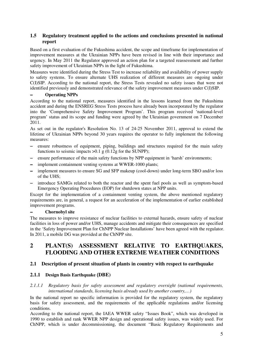# **1.5 Regulatory treatment applied to the actions and conclusions presented in national report**

Based on a first evaluation of the Fukushima accident, the scope and timeframe for implementation of improvement measures at the Ukrainian NPPs have been revised in line with their importance and urgency. In May 2011 the Regulator approved an action plan for a targeted reassessment and further safety improvement of Ukrainian NPPs in the light of Fukushima.

Measures were identified during the Stress Test to increase reliability and availability of power supply to safety systems. To ensure alternate UHS realization of different measures are ongoing under C(I)SIP. According to the national report, the Stress Tests revealed no safety issues that were not identified previously and demonstrated relevance of the safety improvement measures under C(I)SIP.

### − **Operating NPPs**

According to the national report, measures identified in the lessons learned from the Fukushima accident and during the ENSREG Stress Tests process have already been incorporated by the regulator into the 'Comprehensive Safety Improvement Program'. This program received 'national-level program' status and its scope and funding were agreed by the Ukrainian government on 7 December 2011.

As set out in the regulator's Resolution No. 13 of 24-25 November 2011, approval to extend the lifetime of Ukrainian NPPs beyond 30 years requires the operator to fully implement the following measures:

- − ensure robustness of equipment, piping, buildings and structures required for the main safety functions to seismic impacts  $>0.1$  g (0.12g for the SUNPP);
- − ensure performance of the main safety functions by NPP equipment in 'harsh' environments;
- − implement containment venting systems at WWER-1000 plants;
- − implement measures to ensure SG and SFP makeup (cool-down) under long-term SBO and/or loss of the UHS;
- − introduce SAMGs related to both the reactor and the spent fuel pools as well as symptom-based Emergency Operating Procedures (EOP) for shutdown states at NPP units.

Except for the implementation of a containment venting system, the above mentioned regulatory requirements are, in general, a request for an acceleration of the implementation of earlier established improvement programs.

### − **Chornobyl site**

The measures to improve resistance of nuclear facilities to external hazards, ensure safety of nuclear facilities in loss of power and/or UHS, manage accidents and mitigate their consequences are specified in the 'Safety Improvement Plan for ChNPP Nuclear Installations' have been agreed with the regulator. In 2011, a mobile DG was provided at the ChNPP site.

# **2 PLANT(S) ASSESSMENT RELATIVE TO EARTHQUAKES, FLOODING AND OTHER EXTREME WEATHER CONDITIONS**

# **2.1 Description of present situation of plants in country with respect to earthquake**

# **2.1.1 Design Basis Earthquake (DBE)**

*2.1.1.1 Regulatory basis for safety assessment and regulatory oversight (national requirements, international standards, licensing basis already used by another country,…)* 

In the national report no specific information is provided for the regulatory system, the regulatory basis for safety assessment, and the requirements of the applicable regulations and/or licensing conditions.

According to the national report, the IAEA WWER safety "Issues Book", which was developed in 1990 to establish and rank WWER NPP design and operational safety issues, was widely used. For ChNPP, which is under decommissioning, the document "Basic Regulatory Requirements and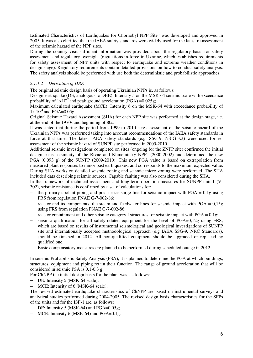Estimated Characteristics of Earthquakes for Chornobyl NPP Site" was developed and approved in 2005. It was also clarified that the IAEA safety standards were widely used for the latest re-assessment of the seismic hazard of the NPP sites.

During the country visit sufficient information was provided about the regulatory basis for safety assessment and regulatory oversight (regulations in-force in Ukraine, which establishes requirements for safety assessment of NPP units with respect to earthquake and extreme weather conditions in design stage). Regulatory requirements contain detailed provisions on how to conduct safety analysis. The safety analysis should be performed with use both the deterministic and probabilistic approaches.

# *2.1.1.2 Derivation of DBE*

The original seismic design basis of operating Ukrainian NPPs is, as follows:

Design earthquake (DE, analogous to DBE): Intensity 5 on the MSK-64 seismic scale with exceedance probability of  $1x10^2$  and peak ground acceleration (PGA) =  $0.025g$ ;

Maximum calculated earthquake (MCE): Intensity 6 on the MSK-64 with exceedance probability of 1x 10**-4** and PGA=0.05g.

Original Seismic Hazard Assessment (SHA) for each NPP site was performed at the design stage, i.e. at the end of the 1970s and beginning of 80s.

It was stated that during the period from 1999 to 2010 a re-assessment of the seismic hazard of the Ukrainian NPPs was performed taking into account recommendations of the IAEA safety standards in force at that time. The latest IAEA safety standards (e.g. SSG-9, NS-G-3.3) were used for reassessment of the seismic hazard of SUNPP site performed in 2009-2010.

Additional seismic investigations completed on sites (ongoing for the ZNPP site) confirmed the initial design basis seismicity of the Rivne and Khmelnitsky NPPs (2000-2002) and determined the new PGA (0.093 g) of the SUNPP (2009-2010). This new PGA value is based on extrapolation from measured plant responses to minor past earthquakes, and corresponds to the maximum expected value. During SHA works on detailed seismic zoning and seismic micro zoning were performed. The SHA included data describing seismic sources. Capable faulting was also considered during the SHA.

In the framework of technical assessment and long-term operation measures for SUNPP unit 1 (V-302), seismic resistance is confirmed by a set of calculations for:

- − the primary coolant piping and pressurizer surge line for seismic impact with PGA = 0,1g using FRS from regulation PNAE G-7-002-86;
- − reactor and its components, the steam and feedwater lines for seismic impact with PGA = 0,15g using FRS from regulation PNAE G-7-002-86;
- reactor containment and other seismic category I structures for seismic impact with PGA =  $0.1g$ ;
- seismic qualification for all safety-related equipment for the level of PGA=0,12g using FRS, which are based on results of instrumental seismological and geological investigations of SUNPP site and internationally accepted methodological approach (e.g IAEA SSG-9, NRC Standards), should be finished in 2012. All non-qualified equipment should be upgraded or replaced by qualified one.
- Basic compensatory measures are planned to be performed during scheduled outage in 2012.

In seismic Probabilistic Safety Analysis (PSA), it is planned to determine the PGA at which buildings, structures, equipment and piping retain their function. The range of ground acceleration that will be considered in seismic PSA is 0.1-0.3 g.

For ChNPP the initial design basis for the plant was, as follows:

- − DE: Intensity 5 (MSK-64 scale);
- − MCE: Intensity of 6 (MSK-64 scale).

The revised estimated earthquake characteristics of ChNPP are based on instrumental surveys and analytical studies performed during 2004-2005. The revised design basis characteristics for the SFPs of the units and for the ISF-1 are, as follows:

- − DE: Intensity 5 (MSK-64) and PGA=0.05g;
- − MCE: Intensity 6 (MSK-64) and PGA=0.1g.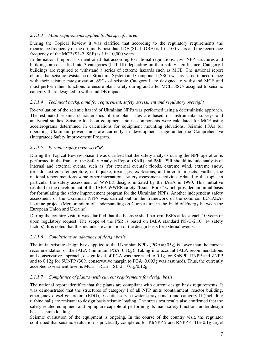# *2.1.1.3 Main requirements applied to this specific area*

During the Topical Review it was clarified that according to the regulatory requirements the recurrence frequency of the originally postulated DE (SL-1, OBE) is 1 in 100 years and the recurrence frequency of the MCE (SL-2, SSE) is 1 in 10,000 years.

In the national report it is mentioned that according to national regulations, civil NPP structures and buildings are classified into 3 categories (I, II, III) depending on their safety significance. Category I buildings are required to withstand a series of extreme hazards such as MCE. The national report claims that seismic resistance of Structure, System and Component (SSC) was assessed in accordance with their seismic categorization. SSCs of seismic Category I are designed to withstand MCE and must perform their functions to ensure plant safety during and after MCE. SSCs assigned to seismic category II are designed to withstand DE impact.

### *2.1.1.4 Technical background for requirement, safety assessment and regulatory oversight*

Re-evaluation of the seismic hazard of Ukrainian NPPs was performed using a deterministic approach. The estimated seismic characteristics of the plant sites are based on instrumental surveys and analytical studies. Seismic loads on equipment and its components were calculated for MCE using accelerograms determined in calculations for equipment mounting elevations. Seismic PSAs for operating Ukrainian power units are currently in development stage under the Comprehensive (Integrated) Safety Improvement Program.

### *2.1.1.5 Periodic safety reviews (PSR)*

During the Topical Review phase it was clarified that the safety analysis during the NPP operation is performed in the frame of the Safety Analysis Report (SAR) and PSR. PSR should include analysis of internal and external events, such as (for external events): floods, extreme wind, extreme snow, tornado, extreme temperature, earthquake, toxic gas, explosions, and aircraft impacts. Further, the national report mentions some other international safety assessment activities related to the topic, in particular the safety assessment of WWER designs initiated by the IAEA in 1990. This initiative resulted in the development of the IAEA WWER safety "Issues Book" which provided an initial basis for formulating the safety improvement program for the Ukrainian NPPs. Another independent safety assessment of the Ukrainian NPPs was carried out in the framework of the common EC-IAEA-Ukraine project (Memorandum of Understanding on Cooperation in the Field of Energy between the European Union and Ukraine).

During the country visit, it was clarified that the licensee shall perform PSRs at least each 10 years or upon regulatory request. The scope of the PSR is based on IAEA standard NS-G-2.10 (14 safety factors). It is noted that this includes revalidation of the design basis for external events.

# *2.1.1.6 Conclusions on adequacy of design basis*

The initial seismic design basis applied to the Ukrainian NPPs (PGA=0.05g) is lower than the current recommendation of the IAEA (minimum PGA=0.10g). Taking into account IAEA recommendations and conservative approach, design level of PGA was increased to 0.1g for KhNPP, RNPP and ZNPP and to 0.12g for SUNPP (30% conservative margin to PGA=0.093g was assumed). Thus, the currently accepted assessment level is  $MCE = RLE = SL-2 = 0.1g/0.12g$ .

### *2.1.1.7 Compliance of plant(s) with current requirements for design basis*

The national report identifies that the plants are compliant with current design basis requirements. It was demonstrated that the structures of category I of all NPP units (containment, reactor building, emergency diesel generators (EDG), essential service water spray ponds) and category II (including turbine hall) are resistant to design basis seismic loading. The stress test results also confirmed that the safety-related equipment and piping are capable of performing its main safety functions under design basis seismic loading.

Seismic evaluation of the equipment is ongoing. In the course of the country visit, the regulator confirmed that seismic evaluation is practically completed for KhNPP-2 and RNPP-4. The 0.1g target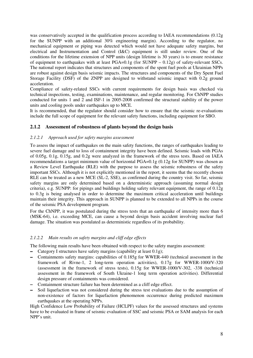was conservatively accepted in the qualification process according to IAEA recommendations (0.12g for the SUNPP with an additional 30% engineering margin). According to the regulator, no mechanical equipment or piping was detected which would not have adequate safety margins, but electrical and Instrumentation and Control (I&C) equipment is still under review. One of the conditions for the lifetime extension of NPP units (design lifetime is 30 years) is to ensure resistance of equipment to earthquakes with at least PGA=0.1g (for SUNPP – 0.12g) of safety-relevant SSCs. The national report indicates that structures and components of the spent fuel pools at Ukrainian NPPs are robust against design basis seismic impacts. The structures and components of the Dry Spent Fuel Storage Facility (DSF) of the ZNPP are designed to withstand seismic impact with 0.2g ground acceleration.

Compliance of safety-related SSCs with current requirements for design basis was checked via technical inspections, testing, examinations, maintenance, and regular monitoring. For ChNPP studies conducted for units 1 and 2 and ISF-1 in 2005-2008 confirmed the structural stability of the power units and cooling pools under earthquakes up to MCE.

It is recommended, that the regulator should consider how to ensure that the seismic re-evaluations include the full scope of equipment for the relevant safety functions, including equipment for SBO.

# **2.1.2 Assessment of robustness of plants beyond the design basis**

### *2.1.2.1 Approach used for safety margins assessment*

To assess the impact of earthquakes on the main safety functions, the ranges of earthquakes leading to severe fuel damage and to loss of containment integrity have been defined. Seismic loads with PGAs of 0.05g, 0.1g, 0.15g, and 0.2g were analyzed in the framework of the stress tests. Based on IAEA recommendations a target minimum value of horizontal PGA=0.1g (0.12g for SUNPP) was chosen as a Review Level Earthquake (RLE) with the purpose to assess the seismic robustness of the safety important SSCs. Although it is not explicitly mentioned in the report, it seems that the recently chosen RLE can be treated as a new MCE (SL-2, SSE), as confirmed during the country visit. So far, seismic safety margins are only determined based on a deterministic approach (assuming normal design criteria), e.g. SUNPP: for pipings and buildings holding safety relevant equipment, the range of 0.12g to 0.3g is being analysed in order to determine the maximum critical acceleration until buildings maintain their integrity. This approach in SUNPP is planned to be extended to all NPPs in the course of the seismic PSA development program.

For the ChNPP, it was postulated during the stress tests that an earthquake of intensity more than 6 (MSK-64), i.e. exceeding MCE, can cause a beyond design basis accident involving nuclear fuel damage. The situation was postulated as deterministic regardless of its probability.

# *2.1.2.2 Main results on safety margins and cliff edge effects*

The following main results have been obtained with respect to the safety margins assessment:

- − Category I structures have safety margins (capability at least 0.1g);
- − Containments safety margins: capabilities of 0.185g for WWER-440 (technical assessment in the framework of Rivne-1, 2 long-term operation activities), 0.17g for WWER-1000/V-320 (assessment in the framework of stress tests), 0.15g for WWER-1000/V-302, -338 (technical assessment in the framework of South Ukraine-1 long term operation activities). Differential design pressure of containments was considered.
- − Containment structure failure has been determined as a cliff edge effect.
- − Soil liquefaction was not considered during the stress test evaluations due to the assumption of non-existence of factors for liquefaction phenomenon occurrence during predicted maximum earthquakes at the operating NPPs.

High Confidence Low Probability of Failure (HCLPF) values for the assessed structures and systems have to be evaluated in frame of seismic evaluation of SSC and seismic PSA or SAM analysis for each NPP's unit.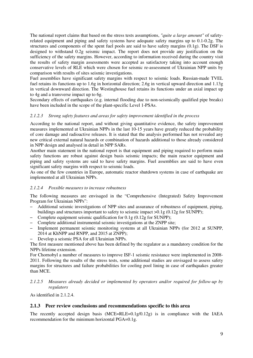The national report claims that based on the stress tests assumptions, *"quite a large amount"* of safetyrelated equipment and piping and safety systems have adequate safety margins up to 0.1-0.2g. The structures and components of the spent fuel pools are said to have safety margins (0.1g). The DSF is designed to withstand 0.2g seismic impact. The report does not provide any justification on the sufficiency of the safety margins. However, according to information received during the country visit the results of safety margin assessments were accepted as satisfactory taking into account enough conservative levels of RLE which were chosen for seismic re-assessment of Ukrainian NPP units by comparison with results of sites seismic investigations.

Fuel assemblies have significant safety margins with respect to seismic loads. Russian-made TVEL fuel retains its functions up to 1.6g in horizontal direction; 2.6g in vertical upward direction and 1.13g in vertical downward direction. The Westinghouse fuel retains its functions under an axial impact up to 4g and a transverse impact up to 6g.

Secondary effects of earthquakes (e.g. internal flooding due to non-seismically qualified pipe breaks) have been included in the scope of the plant-specific Level 1-PSAs.

# *2.1.2.3 Strong safety features and areas for safety improvement identified in the process*

According to the national report, and without giving quantitative evidence, the safety improvement measures implemented at Ukrainian NPPs in the last 10-15 years have greatly reduced the probability of core damage and radioactive releases. It is stated that the analysis performed has not revealed any new critical external natural hazards or combination of hazards additional to those already considered in NPP design and analysed in detail in NPP SARs.

Another main statement in the national report is that equipment and piping required to perform main safety functions are robust against design basis seismic impacts; the main reactor equipment and piping and safety systems are said to have safety margins. Fuel assemblies are said to have even significant safety margins with respect to seismic loads.

As one of the few countries in Europe, automatic reactor shutdown systems in case of earthquake are implemented at all Ukrainian NPPs.

### *2.1.2.4 Possible measures to increase robustness*

The following measures are envisaged in the "Comprehensive (Integrated) Safety Improvement Program for Ukrainian NPPs":

- Additional seismic investigations of NPP sites and assurance of robustness of equipment, piping, buildings and structures important to safety to seismic impact >0.1g (0.12g for SUNPP);
- Complete equipment seismic qualification for 0.1g (0.12g for SUNPP);
- Complete additional instrumental seismic investigations at the ZNPP site;
- Implement permanent seismic monitoring systems at all Ukrainian NPPs (for 2012 at SUNPP, 2014 at KhNPP and RNPP, and 2015 at ZNPP);
- Develop a seismic PSA for all Ukrainian NPPs.

The first measure mentioned above has been defined by the regulator as a mandatory condition for the NPPs lifetime extension.

For Chornobyl a number of measures to improve ISF-1 seismic resistance were implemented in 2008- 2011. Following the results of the stress tests, some additional studies are envisaged to assess safety margins for structures and failure probabilities for cooling pool lining in case of earthquakes greater than MCE.

### *2.1.2.5 Measures already decided or implemented by operators and/or required for follow-up by regulators*

As identified in 2.1.2.4.

# **2.1.3 Peer review conclusions and recommendations specific to this area**

The recently accepted design basis (MCE=RLE=0.1g/0.12g) is in compliance with the IAEA recommendation for the minimum horizontal PGA=0.1g.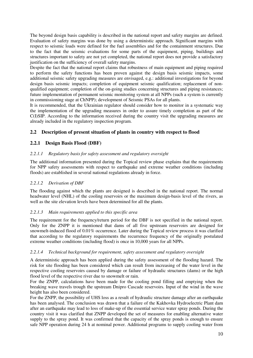The beyond design basis capability is described in the national report and safety margins are defined. Evaluation of safety margins was done by using a deterministic approach. Significant margins with respect to seismic loads were defined for the fuel assemblies and for the containment structures. Due to the fact that the seismic evaluations for some parts of the equipment, piping, buildings and structures important to safety are not yet completed, the national report does not provide a satisfactory justification on the sufficiency of overall safety margins.

Despite the fact that the national report claims that robustness of main equipment and piping required to perform the safety functions has been proven against the design basis seismic impacts, some additional seismic safety upgrading measures are envisaged, e.g.: additional investigations for beyond design basis seismic impacts; completion of equipment seismic qualification; replacement of nonqualified equipment; completion of the on-going studies concerning structures and piping resistances; future implementation of permanent seismic monitoring system at all NPPs (such a system is currently in commissioning stage at ChNPP); development of Seismic PSAs for all plants.

It is recommended, that the Ukrainian regulator should consider how to monitor in a systematic way the implementation of the upgrading measures in order to assure timely completion as part of the C(I)SIP. According to the information received during the country visit the upgrading measures are already included in the regulatory inspection program.

# **2.2 Description of present situation of plants in country with respect to flood**

# **2.2.1 Design Basis Flood (DBF)**

# *2.2.1.1 Regulatory basis for safety assessment and regulatory oversight*

The additional information presented during the Topical review phase explains that the requirements for NPP safety assessments with respect to earthquake and extreme weather conditions (including floods) are established in several national regulations already in force.

# *2.2.1.2 Derivation of DBF*

The flooding against which the plants are designed is described in the national report. The normal headwater level (NHL) of the cooling reservoirs or the maximum design-basis level of the rivers, as well as the site elevation levels have been determined for all the plants.

# *2.2.1.3 Main requirements applied to this specific area*

The requirement for the frequency/return period for the DBF is not specified in the national report. Only for the ZNPP it is mentioned that dams of all five upstream reservoirs are designed for snowmelt-induced flood of 0.01% occurrence. Later during the Topical review process it was clarified that according to the regulatory requirements the recurrence frequency of the originally postulated extreme weather conditions (including flood) is once in 10,000 years for all NPPs.

# *2.2.1.4 Technical background for requirement, safety assessment and regulatory oversight*

A deterministic approach has been applied during the safety assessment of the flooding hazard. The risk for site flooding has been considered which can result from increasing of the water level in the respective cooling reservoirs caused by damage or failure of hydraulic structures (dams) or the high flood level of the respective river due to snowmelt or rain.

For the ZNPP, calculations have been made for the cooling pond filling and emptying when the breaking wave travels trough the upstream Dnipro Cascade reservoirs. Input of the wind in the wave height has also been considered.

For the ZNPP, the possibility of UHS loss as a result of hydraulic structure damage after an earthquake has been analysed. The conclusion was drawn that a failure of the Kakhovka Hydroelectric Plant dam after an earthquake may lead to loss of make-up of the essential service water spray ponds. During the country visit it was clarified that ZNPP developed the set of measures for enabling alternative water supply to the spray pond. It was confirmed that the capacity of the spray ponds is enough to ensure safe NPP operation during 24 h at nominal power. Additional programs to supply cooling water from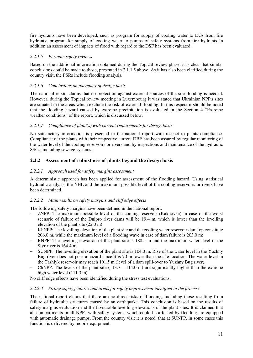fire hydrants have been developed, such as program for supply of cooling water to DGs from fire hydrants; program for supply of cooling water to pumps of safety systems from fire hydrants In addition an assessment of impacts of flood with regard to the DSF has been evaluated.

# *2.2.1.5 Periodic safety reviews*

Based on the additional information obtained during the Topical review phase, it is clear that similar conclusions could be made to those, presented in 2.1.1.5 above. As it has also been clarified during the country visit, the PSRs include flooding analysis.

# *2.2.1.6 Conclusions on adequacy of design basis*

The national report claims that no protection against external sources of the site flooding is needed. However, during the Topical review meeting in Luxembourg it was stated that Ukrainian NPP's sites are situated in the areas which exclude the risk of external flooding. In this respect it should be noted that the flooding hazard caused by extreme precipitation is evaluated in the Section 4 "Extreme weather conditions" of the report, which is discussed below.

# *2.2.1.7 Compliance of plant(s) with current requirements for design basis*

No satisfactory information is presented in the national report with respect to plants compliance. Compliance of the plants with their respective current DBF has been assured by regular monitoring of the water level of the cooling reservoirs or rivers and by inspections and maintenance of the hydraulic SSCs, including sewage systems.

# **2.2.2 Assessment of robustness of plants beyond the design basis**

# *2.2.2.1 Approach used for safety margins assessment*

A deterministic approach has been applied for assessment of the flooding hazard. Using statistical hydraulic analysis, the NHL and the maximum possible level of the cooling reservoirs or rivers have been determined.

# *2.2.2.2 Main results on safety margins and cliff edge effects*

The following safety margins have been defined in the national report:

- ZNPP: The maximum possible level of the cooling reservoir (Kakhovka) in case of the worst scenario of failure of the Dnipro river dams will be 19.4 m, which is lower than the levelling elevation of the plant site (22.0 m)
- KhNPP: The levelling elevation of the plant site and the cooling water reservoir dam top constitute 206.0 m, while the maximum level of a flooding wave in case of dam failure is 203.0 m;
- RNPP: The levelling elevation of the plant site is 188.5 m and the maximum water level in the Styr river is 164.4 m;
- SUNPP: The levelling elevation of the plant site is 104.0 m. Rise of the water level in the Yuzhny Bug river does not pose a hazard since it is 70 m lower than the site location. The water level in the Tashlyk reservoir may reach 101.5 m (level of a dam spill-over to Yuzhny Bug river).
- ChNPP: The levels of the plant site  $(113.7 114.0 \text{ m})$  are significantly higher than the extreme high water level (111.3 m)

No cliff edge effects have been identified during the stress test evaluations.

# *2.2.2.3 Strong safety features and areas for safety improvement identified in the process*

The national report claims that there are no direct risks of flooding, including those resulting from failure of hydraulic structures caused by an earthquake. This conclusion is based on the results of safety margins evaluation and the favourable levelling elevations of the plant sites. It is claimed that all compartments in all NPPs with safety systems which could be affected by flooding are equipped with automatic drainage pumps. From the country visit it is noted, that at SUNPP, in some cases this function is delivered by mobile equipment.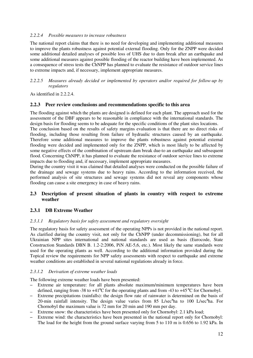### *2.2.2.4 Possible measures to increase robustness*

The national report claims that there is no need for developing and implementing additional measures to improve the plants robustness against potential external flooding. Only for the ZNPP were decided some additional detailed analyses of possible loss of UHS due to dam break after an earthquake and some additional measures against possible flooding of the reactor building have been implemented. As a consequence of stress tests the ChNPP has planned to evaluate the resistance of outdoor service lines to extreme impacts and, if necessary, implement appropriate measures.

### *2.2.2.5 Measures already decided or implemented by operators and/or required for follow-up by regulators*

As identified in 2.2.2.4.

# **2.2.3 Peer review conclusions and recommendations specific to this area**

The flooding against which the plants are designed is defined for each plant. The approach used for the assessment of the DBF appears to be reasonable in compliance with the international standards. The design basis for flooding seems to be adequate for the specific conditions of the plant sites locations.

The conclusion based on the results of safety margins evaluation is that there are no direct risks of flooding, including those resulting from failure of hydraulic structures caused by an earthquake. Therefore some additional measures to improve the plants robustness against potential external flooding were decided and implemented only for the ZNPP, which is most likely to be affected by some negative effects of the combination of upstream dam break due to an earthquake and subsequent flood. Concerning ChNPP, it has planned to evaluate the resistance of outdoor service lines to extreme impacts due to flooding and, if necessary, implement appropriate measures.

During the country visit it was claimed that detailed analyses were conducted on the possible failure of the drainage and sewage systems due to heavy rains. According to the information received, the performed analysis of site structures and sewage systems did not reveal any components whose flooding can cause a site emergency in case of heavy rains.

# **2.3 Description of present situation of plants in country with respect to extreme weather**

# **2.3.1 DB Extreme Weather**

### *2.3.1.1 Regulatory basis for safety assessment and regulatory oversight*

The regulatory basis for safety assessment of the operating NPPs is not provided in the national report. As clarified during the country visit, not only for the ChNPP (under decommissioning), but for all Ukrainian NPP sites international and national standards are used as basis (Eurocode, State Construction Standards DBN B. 1.2-2:2006, PiN AE-5,6, etc.). Most likely the same standards were used for the operating plants as well. According to the additional information provided during the Topical review the requirements for NPP safety assessments with respect to earthquake and extreme weather conditions are established in several national regulations already in force.

### *2.3.1.2 Derivation of extreme weather loads*

The following extreme weather loads have been presented:

- Extreme air temperature: for all plants absolute maximum/minimum temperatures have been defined, ranging from -38 to +41<sup>o</sup>C for the operating plants and from -43 to +45<sup>o</sup>C for Chornobyl.
- Extreme precipitations (rainfalls): the design flow rate of rainwater is determined on the basis of 20-min rainfall intensity. The design value varies from 85 L/sec<sup>x</sup>ha to 100 L/sec<sup>x</sup>ha. For Chornobyl the maximum value is 72 mm for 20 min and 190 mm per day.
- Extreme snow: the characteristics have been presented only for Chornobyl: 2.1 kPa load;
- Extreme wind: the characteristics have been presented in the national report only for Chornobyl: The load for the height from the ground surface varying from 5 to 110 m is 0.656 to 1.92 kPa. In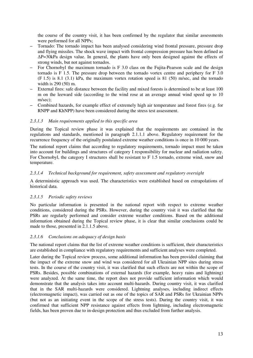the course of the country visit, it has been confirmed by the regulator that similar assessments were performed for all NPPs;

- Tornado: The tornado impact has been analysed considering wind frontal pressure, pressure drop and flying missiles. The shock wave impact with frontal compression pressure has been defined as ∆P=30kPa design value. In general, the plants have only been designed against the effects of strong winds, but not against tornados.
- For Chornobyl the maximum tornado is F 3.0 class on the Fujita-Pearson scale and the design tornado is F 1.5. The pressure drop between the tornado vortex centre and periphery for F 3.0 (F 1.5) is 8.1 (3.1) kPa, the maximum vortex rotation speed is 81 (50) m/sec, and the tornado width is 290 (50) m.
- External fires: safe distance between the facility and mixed forests is determined to be at least 100 m on the leeward side (according to the wind rose at an average annual wind speed up to 10 m/sec);
- Combined hazards, for example effect of extremely high air temperature and forest fires (e.g. for RNPP and KhNPP) have been considered during the stress test assessment.

### *2.3.1.3 Main requirements applied to this specific area*

During the Topical review phase it was explained that the requirements are contained in the regulations and standards, mentioned in paragraph 2.1.1.1 above. Regulatory requirement for the recurrence frequency of the originally postulated extreme weather conditions is once in 10 000 years.

The national report claims that according to regulatory requirements, tornado impact must be taken into account for buildings and structures of category I responsibility for nuclear and radiation safety. For Chornobyl, the category I structures shall be resistant to F 1.5 tornado, extreme wind, snow and temperature.

### *2.3.1.4 Technical background for requirement, safety assessment and regulatory oversight*

A deterministic approach was used. The characteristics were established based on extrapolations of historical data.

### *2.3.1.5 Periodic safety reviews*

No particular information is presented in the national report with respect to extreme weather conditions, considered during the PSRs. However, during the country visit it was clarified that the PSRs are regularly performed and consider extreme weather conditions. Based on the additional information obtained during the Topical review phase, it is clear that similar conclusions could be made to those, presented in 2.1.1.5 above.

### *2.3.1.6 Conclusions on adequacy of design basis*

The national report claims that the list of extreme weather conditions is sufficient, their characteristics are established in compliance with regulatory requirements and sufficient analyses were completed.

Later during the Topical review process, some additional information has been provided claiming that the impact of the extreme snow and wind was considered for all Ukrainian NPP sites during stress tests. In the course of the country visit, it was clarified that such effects are not within the scope of PSRs. Besides, possible combinations of external hazards (for example, heavy rains and lightning) were analyzed. At the same time, the report does not provide sufficient information which would demonstrate that the analysis takes into account multi-hazards. During country visit, it was clarified that in the SAR multi-hazards were considered. Lightning analyses, including indirect effects (electromagnetic impact), was carried out as one of the topics of SAR and PSRs for Ukrainian NPPs (but not as an initiating event in the scope of the stress tests). During the country visit, it was confirmed that sufficient NPP resistance against effects from lightning, including electromagnetic fields, has been proven due to in-design protection and thus excluded from further analysis.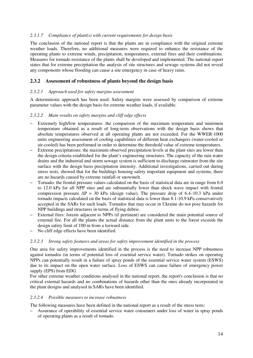### *2.3.1.7 Compliance of plant(s) with current requirements for design basis*

The conclusion of the national report is that the plants are in compliance with the original extreme weather loads. Therefore, no additional measures were required to enhance the resistance of the operating plants to extreme winds, precipitation, temperatures, external fires and their combinations. Measures for tornado resistance of the plants shall be developed and implemented. The national report states that for extreme precipitation the analysis of site structures and sewage systems did not reveal any components whose flooding can cause a site emergency in case of heavy rains.

### **2.3.2 Assessment of robustness of plants beyond the design basis**

### *2.3.2.1 Approach used for safety margins assessment*

A deterministic approach has been used. Safety margins were assessed by comparison of extreme parameter values with the design basis for extreme weather loads, if available.

### *2.3.2.2 Main results on safety margins and cliff edge effects*

- Extremely high/low temperatures: the comparison of the maximum temperature and minimum temperature obtained as a result of long-term observations with the design basis shows that absolute temperatures observed at all operating plants are not exceeded. For the WWER-1000 units engineering assessment of cooling capabilities of different heat exchangers (water-cooled or air-cooled) has been performed in order to determine the threshold value of extreme temperatures.
- Extreme precipitations: the maximum observed precipitation levels at the plant sites are lower than the design criteria established for the plant's engineering structures. The capacity of the rain water drains and the industrial and storm sewage system is sufficient to discharge rainwater from the site surface with the design basis precipitation intensity. Additional investigations, carried out during stress tests, showed that for the buildings housing safety important equipment and systems, there are no hazards caused by extreme rainfall or snowmelt.
- Tornado: the frontal pressure values calculated on the basis of statistical data are in range from 6.0 to 12.0 kPa for all NPP sites and are substantially lower than shock wave impact with frontal compression pressure  $\Delta P = 30$  kPa (design value). The pressure drop of 6.4–10.3 kPa under tornado impacts calculated on the basis of statistical data is lower than 8.1-10.9 kPa conservatively accepted in the SARs for such loads. Tornados that may occur in Ukraine do not pose hazards for NPP buildings and structures in terms of flying debris.
- External fires: forests adjacent to NPPs (if pertinent) are considered the main potential source of external fire. For all the plants the actual distance from the plant units to the forest exceeds the design safety limit of 100 m from a leeward side.
- No cliff edge effects have been identified.

### *2.3.2.3 Strong safety features and areas for safety improvement identified in the process*

One area for safety improvements identified in the process is the need to increase NPP robustness against tornados (in terms of potential loss of essential service water). Tornado strikes on operating NPPs can potentially result in a failure of spray ponds of the essential service water system (ESWS) due to its impact on the open water surface. Loss of ESWS can cause failure of emergency power supply (EPS) from EDG.

For other extreme weather conditions analysed in the national report, the report's conclusion is that no critical external hazards and no combinations of hazards other than the ones already incorporated in the plant designs and analysed in SARs have been identified.

### *2.3.2.4 Possible measures to increase robustness*

The following measures have been defined in the national report as a result of the stress tests:

– Assurance of operability of essential service water consumers under loss of water in spray ponds of operating plants as a result of tornado.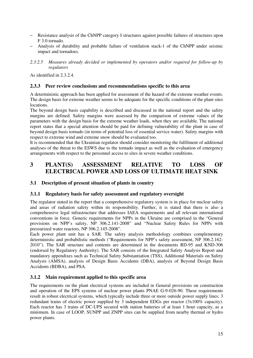- Resistance analysis of the ChNPP category I structures against possible failures of structures upon F 3.0 tornado.
- Analysis of durability and probable failure of ventilation stack-1 of the ChNPP under seismic impact and tornadoes.
- *2.3.2.5 Measures already decided or implemented by operators and/or required for follow-up by regulators*

As identified in 2.3.2.4.

### **2.3.3 Peer review conclusions and recommendations specific to this area**

A deterministic approach has been applied for assessment of the hazard of the extreme weather events. The design basis for extreme weather seems to be adequate for the specific conditions of the plant sites locations.

The beyond design basis capability is described and discussed in the national report and the safety margins are defined. Safety margins were assessed by the comparison of extreme values of the parameters with the design basis for the extreme weather loads, when they are available. The national report states that a special attention should be paid for defining vulnerability of the plant in case of beyond design basis tornado (in terms of potential loss of essential service water). Safety margins with respect to extreme wind and extreme snow should be evaluated too.

It is recommended that the Ukrainian regulator should consider monitoring the fulfilment of additional analyses of the threat to the ESWS due to the tornado impact as well as the evaluation of emergency arrangements with respect to the personnel access to sites in severe weather conditions.

# **3 PLANT(S) ASSESSMENT RELATIVE TO LOSS OF ELECTRICAL POWER AND LOSS OF ULTIMATE HEAT SINK**

# **3.1 Description of present situation of plants in country**

### **3.1.1 Regulatory basis for safety assessment and regulatory oversight**

The regulator stated in the report that a comprehensive regulatory system is in place for nuclear safety and areas of radiation safety within its responsibility. Further, it is stated that there is also a comprehensive legal infrastructure that addresses IAEA requirements and all relevant international conventions in force. Generic requirements for NPPs in the Ukraine are comprised in the "General provisions on NPP's safety, NP 306.2.141-2008" and "Nuclear Safety Rules for NPPs with pressurized water reactors, NP 306.2.145-2008".

Each power plant unit has a SAR. The safety analysis methodology combines complementary deterministic and probabilistic methods ("Requirements for NPP's safety assessment, NP 306.2.162- 2010"). The SAR structure and contents are determined in the documents RD-95 and KND-306 (endorsed by Regulatory Authority). The SAR consists of the Integrated Safety Analysis Report and mandatory appendixes such as Technical Safety Substantiation (TSS), Additional Materials on Safety Analysis (AMSA), analysis of Design Basis Accidents (DBA), analysis of Beyond Design Basis Accidents (BDBA), and PSA.

# **3.1.2 Main requirement applied to this specific area**

The requirements on the plant electrical systems are included in General provisions on construction and operation of the EPS systems of nuclear power plants PNAE G-9-026-90. These requirements result in robust electrical systems, which typically include three or more outside power supply lines; 3 redundant trains of electric power supplied by 3 independent EDGs per reactor (3x100% capacity). Each reactor has 3 trains of DC-UPS secured with station batteries of at least 1 hour capacity, as a minimum. In case of LOOP, SUNPP and ZNPP sites can be supplied from nearby thermal or hydro power plants.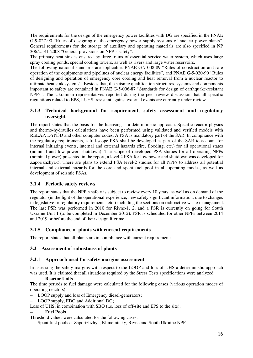The requirements for the design of the emergency power facilities with DG are specified in the PNAE G-9-027-90 "Rules of designing of the emergency power supply systems of nuclear power plants". General requirements for the storage of auxiliary and operating materials are also specified in NP 306.2.141-2008 "General provisions on NPP's safety".

The primary heat sink is ensured by three trains of essential service water system, which uses large spray cooling ponds, special cooling towers, as well as rivers and large water reservoirs.

The following national standards are applicable: PNAE G-7-008-89 "Rules of construction and safe operation of the equipments and pipelines of nuclear energy facilities", and PNAE G-5-020-90 "Rules of designing and operation of emergency core cooling and heat removal from a nuclear reactor to ultimate heat sink systems". Besides that, the seismic qualification structures, systems and components important to safety are contained in PNAE G-5-006-87 "Standards for design of earthquake-resistant NPPs". The Ukrainian representatives reported during the peer review discussion that all specific regulations related to EPS, LUHS, resistant against external events are currently under review.

# **3.1.3 Technical background for requirement, safety assessment and regulatory oversight**

The report states that the basis for the licensing is a deterministic approach. Specific reactor physics and thermo-hydraulics calculations have been performed using validated and verified models with RELAP, DYN3D and other computer codes. A PSA is mandatory part of the SAR. In compliance with the regulatory requirements, a full-scope PSA shall be developed as part of the SAR to account for internal initiating events, internal and external hazards (fire, flooding, etc.) for all operational states (nominal and low power, shutdown). The scope of developed PSA studies for all operating NPPs (nominal power) presented in the report, a level 2 PSA for low power and shutdown was developed for Zaporizhzhya-5. There are plans to extend PSA level-2 studies for all NPPs to address all potential internal and external hazards for the core and spent fuel pool in all operating modes, as well as development of seismic PSAs.

# **3.1.4 Periodic safety reviews**

The report states that the NPP's safety is subject to review every 10 years, as well as on demand of the regulator (in the light of the operational experience, new safety significant information, due to changes in legislative or regulatory requirements, etc.) including the sections on radioactive waste management. The last PSR was performed in 2010 for Rivne-1, 2, and a PSR is currently on going for South Ukraine Unit 1 (to be completed in December 2012). PSR is scheduled for other NPPs between 2014 and 2019 or before the end of their design lifetime.

# **3.1.5 Compliance of plants with current requirements**

The report states that all plants are in compliance with current requirements.

# **3.2 Assessment of robustness of plants**

# **3.2.1 Approach used for safety margins assessment**

In assessing the safety margins with respect to the LOOP and loss of UHS a deterministic approach was used. It is claimed that all situations required by the Stress Tests specifications were analyzed:

### − **Reactor Units**

The time periods to fuel damage were calculated for the following cases (various operation modes of operating reactors):

- LOOP supply and loss of Emergency diesel-generators;
- LOOP supply, EDG and Additional DG;
- Loss of UHS, in combination with SBO (i.e. loss of off-site and EPS to the site).

### − **Fuel Pools**

Threshold values were calculated for the following cases:

– Spent fuel pools at Zaporizhzhya, Khmelnitsky, Rivne and South Ukraine NPPs.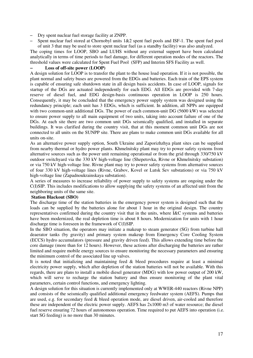- Dry spent nuclear fuel storage facility at ZNPP.
- Spent nuclear fuel stored at Chornobyl units 1&2 spent fuel pools and ISF-1. The spent fuel pool of unit 3 that may be used to store spent nuclear fuel (as a standby facility) was also analyzed.

The coping times for LOOP, SBO and LUHS without any external support have been calculated analytically in terms of time periods to fuel damage, for different operation modes of the reactors. The threshold values were calculated for Spent Fuel Pool (SFP) and Interim SFS Facility as well.

### − **Loss of off-site power (LOOP)**

A design solution for LOOP is to transfer the plant to the house load operation. If it is not possible, the plant normal and safety buses are powered from the EDGs and batteries. Each train of the EPS system is capable of ensuring safe shutdown state in all design basis accidents. In case of LOOP, signals for startup of the DGs are actuated independently for each EDG. All EDGs are provided with 7-day reserve of diesel fuel, and EDG design-basis continuous operation in LOOP is 250 hours. Consequently, it may be concluded that the emergency power supply system was designed using the redundancy principle; each unit has 3 EDGs, which is sufficient. In addition, all NPPs are equipped with two common-unit additional DGs. The power of each common-unit DG (5600 kW) was selected to ensure power supply to all main equipment of two units, taking into account failure of one of the DGs. At each site there are two common unit DGs seismically qualified, and installed in separate buildings. It was clarified during the country visit, that at this moment common unit DGs are not connected to all units on the SUNPP site. There are plans to make common unit DGs available for all units on-site.

As an alternative power supply option, South Ukraine and Zaporizhzhya plant sites can be supplied from nearby thermal or hydro power plants. Khmelnitsky plant may try to power safety systems from alternative sources such as the power unit remaining operational or from the grid through 330/750 kV outdoor switchyard via the 330 kV high-voltage line (Shepetovka, Rivne or Khmelnitsky substation) or via 750 kV high-voltage line. Rivne plant may try to power safety systems from alternative sources of four 330 kV high-voltage lines (Rivne, Grabov, Kovel or Lutsk Sev substations) or via 750 kV high-voltage line (Zapadnoukrainskaya substation).

A series of measures to increase reliability of power supply to safety systems are ongoing under the C(I)SIP. This includes modifications to allow supplying the safety systems of an affected unit from the neighboring units of the same site.

### **Station Blackout (SBO)**

The discharge time of the station batteries in the emergency power system is designed such that the loads can be supplied by the batteries alone for about 1 hour in the original design. The country representatives confirmed during the country visit that in the units, where I&C systems and batteries have been modernized, the real depletion time is about 8 hours. Modernization for units with 1 hour discharge time is foreseen in the framework of C(I)SIP.

In the SBO situation, the operators may initiate a makeup to steam generator (SG) from turbine hall deaerator tanks (by gravity) and primary system makeup from Emergency Core Cooling System (ECCS) hydro accumulators (pressure and gravity driven feed). This allows extending time before the core damage (more than for 12 hours). However, these actions after discharging the batteries are rather limited and require mobile energy sources to ensure monitoring the necessary parameters and ensuring the minimum control of the associated line up valves.

It is noted that initializing and maintaining feed & bleed procedures require at least a minimal electricity power supply, which after depletion of the station batteries will not be available. With this regards, there are plans to install a mobile diesel generator (MDG) with low power output of 200 kW, which will serve to recharge the station battery and thus ensure monitoring of the plant vital parameters, certain control functions, and emergency lighting.

A design solution for this situation is currently implemented only at WWER-440 reactors (Rivne NPP) and consists of the seismically qualified additional emergency feedwater system (AEFS). Pumps that are used, e.g. for secondary feed & bleed operation mode, are diesel driven, air-cooled and therefore these are independent of the electric power supply. AEFS has 2x1000 m3 of water resource; the diesel fuel reserve ensuring 72 hours of autonomous operation. Time required to put AEFS into operation (i.e. start SG feeding) is no more than 30 minutes.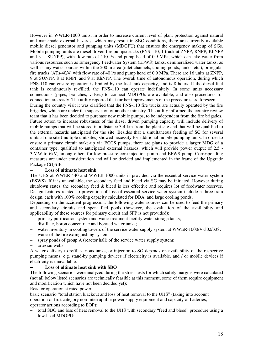However in WWER-1000 units, in order to increase current level of plant protection against natural and man-made external hazards, which may result in SBO conditions, there are currently available mobile diesel generator and pumping units (MDGPU) that ensures the emergency makeup of SGs. Mobile pumping units are diesel driven fire pumps/trucks (PNS-110, 1 truck at ZNPP, RNPP, KhNPP and 3 at SUNPP), with flow rate of 110 l/s and pump head of 0.9 MPa, which can take water from various resources such as Emergency Feedwater System (EFWS) tanks, demineralized water tanks, as well as any water sources within the 200 m area (inlet channels, cooling ponds, tanks, etc.), or regular fire trucks (ATs-40/4) with flow rate of 40 l/s and pump head of 0.9 MPa. There are 16 units at ZNPP, 9 at SUNPP, 8 at RNPP and 9 at KhNPP. The overall time of autonomous operation, during which PNS-110 can ensure operation is limited by the fuel tank capacity, and is 8 hours. If the diesel fuel tank is continuously re-filled, the PNS-110 can operate indefinitely. In some units necessary connections (pipes, branches, valves) to connect MDGPUs are available, and also procedures for connection are ready. The utility reported that further improvements of the procedures are foreseen. During the country visit it was clarified that the PNS-110 fire trucks are actually operated by the fire brigades, which are under the supervision of another ministry. The utility informed the country review

team that it has been decided to purchase new mobile pumps, to be independent from the fire brigades. Future action to increase robustness of the diesel driven pumping capacity will include delivery of mobile pumps that will be stored in a distance 3-4 km from the plant site and that will be qualified to the external hazards anticipated for the site. Besides that a simultaneous feeding of SG for several units at one site (multiple unit sites) showed necessity for additional mobile pumping units. In order to ensure a primary circuit make-up via ECCS pumps, there are plans to provide a larger MDG of a container type, qualified to anticipated external hazards, which will provide power output of 2,5 - 3 MW to 6kV, among others for low pressure core injection pump and EFWS pump. Corresponding measures are under consideration and will be decided and implemented in the frame of the Upgrade Package C(I)SIP.

### − **Loss of ultimate heat sink**

The UHS at WWER-440 and WWER-1000 units is provided via the essential service water system (ESWS). If it is unavailable, the secondary feed and bleed via SG may be initiated. However during shutdown states, the secondary feed & bleed is less effective and requires lot of feedwater reserves. Design features related to prevention of loss of essential service water system include a three-train design, each with 100% cooling capacity calculated for DBA, and large cooling ponds.

Depending on the accident progression, the following water sources can be used to feed the primary and secondary circuits and spent fuel pools (however, the evaluation of the availability and applicability of these sources for primary circuit and SFP is not provided):

- primary purification system and water treatment facility water storage tanks;
- distillate, boron concentrate and borated water tanks;
- water inventory in cooling towers of the service water supply system at WWER-1000/V-302/338;
- water of the fire extinguishing system;
- spray ponds of group A (reactor hall) of the service water supply system;
- artesian wells.

A water delivery to refill various tanks, or injection to SG depends on availability of the respective pumping means, e.g. stand-by pumping devices if electricity is available, and / or mobile devices if electricity is unavailable.

### − **Loss of ultimate heat sink with SBO**

The following scenarios were analyzed during the stress tests for which safety margins were calculated (not all below listed scenarios are technically feasible at this moment, some of them require equipment and modification which have not been decided yet):

Reactor operation at rated power:

basic scenario "total station blackout and loss of heat removal to the UHS" (taking into account operation of first category non-interruptible power supply equipment and capacity of batteries, operator actions according to EOP);

– total SBO and loss of heat removal to the UHS with secondary "feed and bleed" procedure using a low-head MDGPU;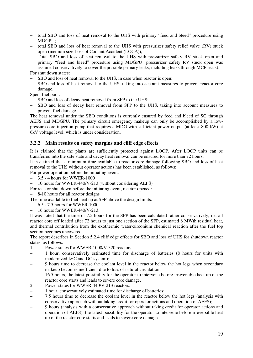- total SBO and loss of heat removal to the UHS with primary "feed and bleed" procedure using MDGPU;
- total SBO and loss of heat removal to the UHS with pressurizer safety relief valve (RV) stuck open (medium size Loss of Coolant Accident (LOCA));
- Total SBO and loss of heat removal to the UHS with pressurizer safety RV stuck open and primary "feed and bleed" procedure using MDGPU (pressurizer safety RV stuck open was assumed conservatively to cover the possible primary leaks, including leaks through MCP seals).

For shut down states:

- SBO and loss of heat removal to the UHS, in case when reactor is open;
- SBO and loss of heat removal to the UHS, taking into account measures to prevent reactor core damage.

Spent fuel pool:

- SBO and loss of decay heat removal from SFP to the UHS;
- SBO and loss of decay heat removal from SFP to the UHS, taking into account measures to prevent fuel damage.

The heat removal under the SBO conditions is currently ensured by feed and bleed of SG through AEFS and MDGPU. The primary circuit emergency makeup can only be accomplished by a lowpressure core injection pump that requires a MDG with sufficient power output (at least 800 kW) at 6kV voltage level, which is under consideration.

# **3.2.2 Main results on safety margins and cliff edge effects**

It is claimed that the plants are sufficiently protected against LOOP. After LOOP units can be transferred into the safe state and decay heat removal can be ensured for more than 72 hours.

It is claimed that a minimum time available to reactor core damage following SBO and loss of heat removal to the UHS without operator actions has been established, as follows:

For power operation before the initiating event:

- 3.5 4 hours for WWER-1000
- 10 hours for WWER-440/V-213 (without considering AEFS)

For reactor shut down before the initiating event, reactor opened:

– 8-10 hours for all reactor designs

The time available to fuel heat up at SFP above the design limits:

- 6.5 7.5 hours for WWER-1000
- 16 hours for WWER-440/V-213.

It was noted that the time of 7.5 hours for the SFP has been calculated rather conservatively, i.e. all reactor core off loaded after 72 hours to just one section of the SFP, estimated 8 MWth residual heat, and thermal contribution from the exothermic water-zirconium chemical reaction after the fuel top section becomes uncovered.

The report describes in Section 5.2.4 cliff edge effects for SBO and loss of UHS for shutdown reactor states, as follows:

- 1. Power states for WWER-1000/V-320 reactors:
- 1 hour, conservatively estimated time for discharge of batteries (8 hours for units with modernized I&C and DC system);
- 9 hours time to decrease the coolant level in the reactor below the hot legs when secondary makeup becomes inefficient due to loss of natural circulation;
- 16.5 hours, the latest possibility for the operator to intervene before irreversible heat up of the reactor core starts and leads to severe core damage.
- 2. Power states for WWER-440/V-213 reactors:
- 1 hour, conservatively estimated time for discharge of batteries;
- 7.5 hours time to decrease the coolant level in the reactor below the hot legs (analysis with conservative approach without taking credit for operator actions and operation of AEFS);
- 9 hours (analysis with a conservative approach without taking credit for operator actions and operation of AEFS), the latest possibility for the operator to intervene before irreversible heat up of the reactor core starts and leads to severe core damage.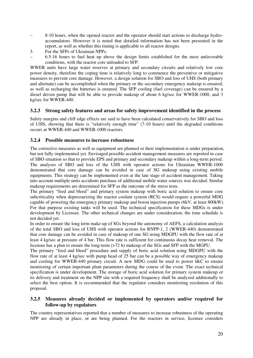- 8-10 hours, when the opened reactor and the operator should start actions to discharge hydroaccumulators. However it is noted that detailed information has not been presented in the report, as well as whether this timing is applicable to all reactor designs.
- 3. For the SFPs of Ukrainian NPPs:
- 6.5-16 hours to fuel heat up above the design limits established for the most unfavorable conditions, with the reactor core unloaded to SFP.

WWER units have large water reserves at primary and secondary circuits and relatively low core power density, therefore the coping time is relatively long to commence the preventive or mitigative measures to prevent core damage. However, a design solution for SBO and loss of UHS (both primary and alternate) can be accomplished when the primary or the secondary emergency makeup is ensured, as well as recharging the batteries is ensured. The SFP cooling (fuel coverage) can be ensured by a diesel driven pump that will be able to provide makeup of about 6 kg/sec for WWER-1000, and 3 kg/sec for WWER-440.

# **3.2.3 Strong safety features and areas for safety improvement identified in the process**

Safety margins and cliff edge effects are said to have been calculated conservatively for SBO and loss of UHS, showing that there is "relatively enough time" (7-10 hours) until the degraded conditions occurs at WWER-440 and WWER-1000 reactors.

# **3.2.4 Possible measures to increase robustness**

The corrective measures as well as equipment are planned or their implementation is under preparation, but not fully implemented yet. Envisaged possible accident management measures are reported in case of SBO situation so that to provide EPS and primary and secondary makeup within a long-term period. The analyses of SBO and loss of the UHS with operator actions for Ukrainian WWER-1000 demonstrated that core damage can be avoided in case of SG makeup using existing mobile equipments. This strategy can be implemented even at the late stage of accident management. Taking into account multiple units accidents purchase of additional mobile water sources was decided. Similar makeup requirements are determined for SFP as the outcome of the stress tests.

The primary "feed and bleed" and primary system makeup with boric acid solution to ensure core subcriticality when depressurizing the reactor coolant system (RCS) would require a powerful MDG capable of powering the emergency primary makeup and boron injection pumps (6kV, at least 800kW). For that purpose existing tanks will be used. The technical specification for these MDGs is under development by Licensee. The other technical changes are under consideration; the time schedule is not decided yet.

In order to ensure the long term make-up of SGs beyond the autonomy of AEFS, a calculation analysis of the total SBO and loss of UHS with operator actions for RNPP-1, 2 (WWER-440) demonstrated that core damage can be avoided in case of makeup of one SG using MDGPU with the flow rate of at least 4 kg/sec at pressure of 4 bar. This flow rate is sufficient for continuous decay heat removal. The licensee has a plan to ensure the long-term (>72 h) makeup of the SGs and SFP with the MGPU.

The primary "feed and bleed" procedure and supply of boric acid solution using MDGPU with the flow rate of at least 4 kg/sec with pump head of 25 bar can be a possible way of emergency makeup and cooling for WWER-440 primary circuit. A new MDG could be used to power I&C to ensure monitoring of certain important plant parameters during the course of the event. The exact technical specification is under development. The storage of boric acid solution for primary system makeup or its delivery and treatment on the NPP site with a required frequency shall be analyzed additionally to select the best option. It is recommended that the regulator considers monitoring resolution of this proposal.

# **3.2.5 Measures already decided or implemented by operators and/or required for follow-up by regulators**

The country representatives reported that a number of measures to increase robustness of the operating NPP are already in place, or are being planned. For the reactors in service, licensee considers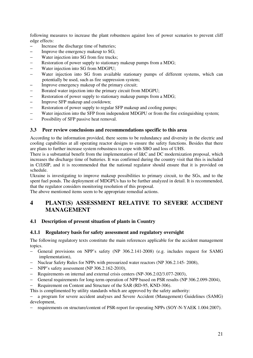following measures to increase the plant robustness against loss of power scenarios to prevent cliff edge effects:

- Increase the discharge time of batteries;
- Improve the emergency makeup to SG;
- Water injection into SG from fire trucks;
- − Restoration of power supply to stationary makeup pumps from a MDG;
- − Water injection into SG from MDGPU;
- Water injection into SG from available stationary pumps of different systems, which can potentially be used, such as fire suppression system;
- Improve emergency makeup of the primary circuit;
- Borated water injection into the primary circuit from MDGPU;
- − Restoration of power supply to stationary makeup pumps from a MDG:
- Improve SFP makeup and cooldown;
- Restoration of power supply to regular SFP makeup and cooling pumps;
- − Water injection into the SFP from independent MDGPU or from the fire extinguishing system;
- − Possibility of SFP passive heat removal.

# **3.3 Peer review conclusions and recommendations specific to this area**

According to the information provided, there seems to be redundancy and diversity in the electric and cooling capabilities at all operating reactor designs to ensure the safety functions. Besides that there are plans to further increase system robustness to cope with SBO and loss of UHS.

There is a substantial benefit from the implementation of I&C and DC modernization proposal, which increases the discharge time of batteries. It was confirmed during the country visit that this is included in C(I)SIP, and it is recommended that the national regulator should ensure that it is provided on schedule.

Ukraine is investigating to improve makeup possibilities to primary circuit, to the SGs, and to the spent fuel ponds. The deployment of MDGPUs has to be further analyzed in detail. It is recommended, that the regulator considers monitoring resolution of this proposal.

The above mentioned items seem to be appropriate remedial actions.

# **4 PLANT(S) ASSESSMENT RELATIVE TO SEVERE ACCIDENT MANAGEMENT**

# **4.1 Description of present situation of plants in Country**

# **4.1.1 Regulatory basis for safety assessment and regulatory oversight**

The following regulatory texts constitute the main references applicable for the accident management topics.

- − General provisions on NPP's safety (NP 306.2.141-2008) (e.g. includes request for SAMG implementation),
- − Nuclear Safety Rules for NPPs with pressurized water reactors (NP 306.2.145- 2008),
- − NPP's safety assessment (NP 306.2.162-2010),
- − Requirements on internal and external crisis centers (NP-306.2.02/3.077-2003),
- − General requirements for long-term operation of NPP based on PSR results (NP 306.2.099-2004),
- − Requirement on Content and Structure of the SAR (RD-95, KND-306).

This is complimented by utility standards which are approved by the safety authority:

− a program for severe accident analyses and Severe Accident (Management) Guidelines (SAMG) development,

− requirements on structure/content of PSR-report for operating NPPs (SOY-N-YAEK 1.004:2007).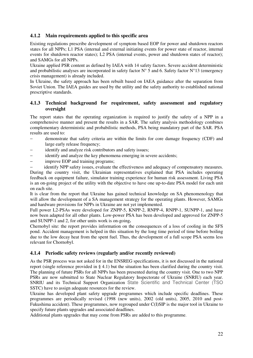# **4.1.2 Main requirements applied to this specific area**

Existing regulations prescribe development of symptom based EOP for power and shutdown reactors states for all NPPs; L1 PSA (internal and external initiating events for power state of reactor, internal events for shutdown reactor states); L2 PSA (internal events, power and shutdown states of reactor); and SAMGs for all NPPs.

Ukraine applied PSR content as defined by IAEA with 14 safety factors. Severe accident deterministic and probabilistic analyses are incorporated in safety factor  $N^{\circ}$  5 and 6. Safety factor  $N^{\circ}$  13 (emergency crisis management) is already included.

In Ukraine, the safety approach has been rebuilt based on IAEA guidance after the separation from Soviet Union. The IAEA guides are used by the utility and the safety authority to established national prescriptive standards.

# **4.1.3 Technical background for requirement, safety assessment and regulatory oversight**

The report states that the operating organization is required to justify the safety of a NPP in a comprehensive manner and present the results in a SAR. The safety analysis methodology combines complementary deterministic and probabilistic methods, PSA being mandatory part of the SAR. PSA results are used to:

- − demonstrate that safety criteria are within the limits for core damage frequency (CDF) and large early release frequency;
- identify and analyze risk contributors and safety issues;
- identify and analyze the key phenomena emerging in severe accidents;
- improve EOP and training programs;

identify NPP safety issues, evaluate the effectiveness and adequacy of compensatory measures. During the country visit, the Ukrainian representatives explained that PSA includes operating feedback on equipment failure, simulator training experience for human risk assessment. Living PSA is an on-going project of the utility with the objective to have one up-to-date PSA model for each unit on each site.

It is clear from the report that Ukraine has gained technical knowledge on SA phenomenology that will allow the development of a SA management strategy for the operating plants. However, SAMGs and hardware provisions for NPPs in Ukraine are not yet implemented.

Full power L2-PSAs were developed for ZNPP-5, KNPP-2, RNPP-4, RNPP-1, SUNPP-1, and have now been adapted for all other plants. Low-power PSA has been developed and approved for ZNPP-5 and SUNPP-1 and 2, for other units work is on-going**.** 

Chernobyl site: the report provides information on the consequences of a loss of cooling in the SFS pond. Accident management is helped in this situation by the long time period of time before boiling due to the low decay heat from the spent fuel. Thus, the development of a full scope PSA seems less relevant for Chornobyl.

# **4.1.4 Periodic safety reviews (regularly and/or recently reviewed)**

As the PSR process was not asked for in the ENSREG specifications, it is not discussed in the national report (single reference provided in § 4.1) but the situation has been clarified during the country visit. The planning of future PSRs for all NPPs has been presented during the country visit. One to two NPP PSRs are now submitted to State Nuclear Regulatory Inspectorate of Ukraine (SNRIU) each year. SNRIU and its Technical Support Organization State Scientific and Technical Center (TSO SSTC) have to assign adequate resources for the review.

Ukraine has developed plant safety upgrade programmes which include specific deadlines. These programmes are periodically revised (1998 (new units), 2002 (old units), 2005, 2010 and post-Fukushima accident). These programmes, now regrouped under C(I)SIP is the major tool in Ukraine to specify future plants upgrades and associated deadlines.

Additional plants upgrades that may come from PSRs are added to this programme.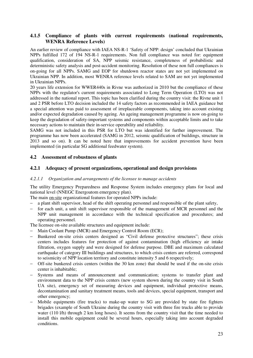# **4.1.5 Compliance of plants with current requirements (national requirements, WENRA Reference Levels)**

An earlier review of compliance with IAEA NS-R-1 'Safety of NPP: design' concluded that Ukrainian NPPs fulfilled 172 of 194 NS-R-1 requirements. Non full compliance was noted for: equipment qualification, consideration of SA, NPP seismic resistance, completeness of probabilistic and deterministic safety analysis and post-accident monitoring. Resolution of these non full compliances is on-going for all NPPs. SAMG and EOP for shutdown reactor states are not yet implemented on Ukrainian NPP. In addition, most WENRA reference levels related to SAM are not yet implemented in Ukrainian NPPs.

20 years life extension for WWER440s in Rivne was authorized in 2010 but the compliance of these NPPs with the regulator's current requirements associated to Long Term Operation (LTO) was not addressed in the national report. This topic has been clarified during the country visit: the Rivne unit 1 and 2 PSR before LTO decision included the 14 safety factors as recommended in IAEA guidance but a special attention was paid to assessment of irreplaceable components, taking into account existing and/or expected degradation caused by ageing. An ageing management programme is now on-going to keep the degradation of safety-important systems and components within acceptable limits and to take necessary actions to maintain their in-service operability and reliability.

SAMG was not included in this PSR for LTO but was identified for further improvement. The programme has now been accelerated (SAMG in 2012, seismic qualification of buildings, structure in 2013 and so on). It can be noted here that improvements for accident prevention have been implemented (in particular SG additional feedwater system).

# **4.2 Assessment of robustness of plants**

### **4.2.1 Adequacy of present organizations, operational and design provisions**

#### *4.2.1.1 Organization and arrangements of the licensee to manage accidents*

The utility Emergency Preparedness and Response System includes emergency plans for local and national level (NNEGC Energoatom emergency plan).

The main on-site organizational features for operated NPPs include:

- − a plant shift supervisor, head of the shift operating personnel and responsible of the plant safety,
- for each unit, a unit shift supervisor responsible of the management of MCR personnel and the NPP unit management in accordance with the technical specification and procedures; and operating personnel.

The licensee on-site available structures and equipment include:

- − Main Coolant Pump (MCR) and Emergency Control Room (ECR);
- Bunkered on-site crisis centers designed as "Civil defense protective structures"; these crisis centers includes features for protection of against contamination (high efficiency air intake filtration, oxygen supply and were designed for defense purpose. DBE and maximum calculated earthquake of category III buildings and structures, to which crisis centers are referred, correspond to seismicity of NPP location territory and constitute intensity 5 and 6 respectively;
- − Off-site bunkered crisis centers (within the 30 km zone) that should be used if the on-site crisis center is inhabitable;
- Systems and means of announcement and communication; systems to transfer plant and environment data to the NPP crisis centers (new system shown during the country visit in South UA site), emergency set of measuring devices and equipment, individual protective means, decontamination and sanitary treatment means, tools and devices, special equipment, transport and other emergency;
- Mobile equipments (fire trucks) to make-up water to SG are provided by state fire fighters brigades (example of South Ukraine during the country visit with three fire trucks able to provide water (110 l/h) through 2 km long hoses). It seems from the country visit that the time needed to install this mobile equipment could be several hours, especially taking into account degraded conditions.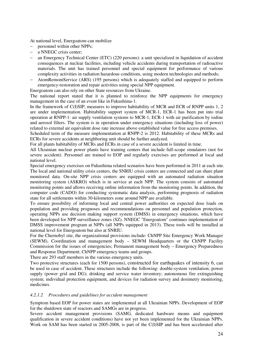At national level, Energoatom can mobilize

- − personnel within other NPPs;
- a NNEGC crisis center;
- − an Emergency Technical Center (ETC) (220 persons): a unit specialized in liquidation of accident consequences at nuclear facilities, including vehicle accidents during transportation of radioactive materials. The unit has trained personnel and special equipment for performance of various complexity activities in radiation hazardous conditions, using modern technologies and methods;
- − AtomRemontService (ARS) (195 persons) which is adequately staffed and equipped to perform emergency-restoration and repair activities using special NPP equipment.

Energoatom can also rely on other State resources from Ukraine.

The national report stated that it is planned to reinforce the NPP equipments for emergency management in the case of an event like in Fukushima-1.

In the framework of C(I)SIP, measures to improve habitability of MCR and ECR of RNPP units 1, 2 are under implementation. Habitability support system of MCR-1, ECR-1 has been put into trial operation at RNPP-1: air supply ventilation systems to MCR-1, ECR-1 with air purification by iodine and aerosol filters. The system is in operation under emergency situations (including loss of power) related to external air equivalent dose rate increase above established value for free access premises.

Scheduled term of the measure implementation at RNPP-2 is 2012. Habitability of these MCRs and ECRs for severe accidents at neighboring unit should be further analyzed.

For all plants habitability of MCRs and ECRs in case of a severe accident is limited in time.

All Ukrainian nuclear power plants have training centers that include full-scope simulators (not for severe accident). Personnel are trained to EOP and regularly exercises are performed at local and national level.

Special emergency exercises on Fukushima related scenarios have been performed in 2011 at each site. The local and national utility crisis centers, the SNRIU crisis centers are connected and can share plant monitored data. On-site NPP crisis centers are equipped with an automated radiation situation monitoring system (ASKRO) which is in service at each NPP. The system consists of automated monitoring points and allows receiving online information from the monitoring points. In addition, the computer code (CADO) for conducting systematic data analysis, performing prognosis of radiation state for all settlements within 30-kilometers zone around NPP are available.

To ensure possibility of informing local and central power authorities on expected dose loads on population and providing prognoses and recommendations on personnel and population protection, operating NPPs use decision making support system (DMSS) in emergency situations, which have been developed for NPP surveillance zones (SZ). NNEGC "Energoatom" continues implementation of DMSS improvement program at NPPs (all NPPs equipped in 2013). These tools will be installed at national level for Energoatom but also at SNRIU.

For the Chernobyl site, the organizational provisions include: ChNPP Site Emergency Work Manager (SEWM), Coordination and management body – SEWM Headquarters or the ChNPP Facility Commission for the issues of emergencies; Permanent management body – Emergency Preparedness and Response Department; ChNPP emergency teams and groups.

There are 293 staff members in the various emergency units.

Two protective structures (each for 1500 persons), constructed for earthquakes of intensity 6, can be used in case of accident. These structures include the following: double-system ventilation; power supply (power grid and DG); drinking and service water inventory; autonomous fire extinguishing system; individual protection equipment, and devices for radiation survey and dosimetry monitoring, medicines.

### *4.2.1.2 Procedures and guidelines for accident management*

Symptom based EOP for power states are implemented at all Ukrainian NPPs. Development of EOP for the shutdown state of reactors and SAMGs are in progress.

Severe accident management provisions (SAMG, dedicated hardware means and equipment qualification in severe accident conditions) have not yet been implemented for the Ukrainian NPPs. Work on SAM has been started in 2005-2008, is part of the C(I)SIP and has been accelerated after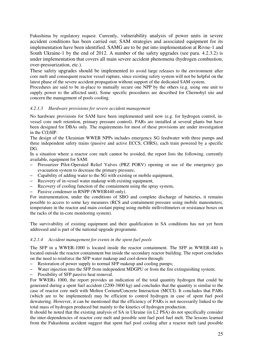Fukushima by regulatory request. Currently, vulnerability analysis of power units in severe accident conditions has been carried out; SAM strategies and associated equipment for its implementation have been identified. SAMG are to be put into implementation at Rivne-1 and South Ukraine-1 by the end of 2012. A number of the safety upgrades (see para. 4.2.3.2) is under implementation that covers all main severe accident phenomena (hydrogen combustion, over-pressurization, etc.).

These safety upgrades should be implemented to avoid large releases to the environment after core melt and consequent reactor vessel rupture, since existing safety system will not be helpful on the latest phase of the severe accident propagation without support of the dedicated SAM system.

Procedures are said to be in-place to mutually secure one NPP by the others (e.g. using one unit to supply power to the affected unit). Some specific procedures are described for Chernobyl site and concern the management of pools cooling.

### *4.2.1.3 Hardware provisions for severe accident management*

No hardware provisions for SAM have been implemented until now (e.g. for hydrogen control, invessel core melt retention, primary pressure control). PARs are installed at several plants but have been designed for DBAs only. The requirements for most of these provisions are under investigation in the C(I)SIP.

The design of the Ukrainian WWER NPPs includes emergency SG feedwater with three pumps and three independent safety trains (passive and active ECCS, CHRS), each train powered by a specific DG.

In a situation where a reactor core melt cannot be avoided, the report lists the following, currently available, equipment for SAM:

- Pressurizer Pilot-Operated Relief Valves (PRZ PORV) opening or use of the emergency gas evacuation system to decrease the primary pressure,
- Capability of adding water to the SG with existing or mobile equipment,
- Recovery of in-vessel water makeup with existing equipment,
- Recovery of cooling function of the containment using the spray system,
- Passive condenser in RNPP (WWER440 only).

For instrumentation, under the conditions of SBO and complete discharge of batteries, it remains possible to access to some key measures (RCS and containment pressure using mobile manometers, temperature in the reactor and main coolant piping using mobile millivoltmeters or resistance boxes on the racks of the in-core monitoring system).

The survivability of existing equipment and their qualification in SA conditions has not yet been addressed and is part of the national upgrade programme.

### *4.2.1.4 Accident management for events in the spent fuel pools*

The SFP in a WWER-1000 is located inside the reactor containment. The SFP in WWER-440 is located outside the reactor containment but inside the secondary reactor building. The report concludes on the need to reinforce the SFP water makeup and cool-down through:

- Restoration of power supply to normal SFP makeup and cooling pumps;
- Water injection into the SFP from independent MDGPU or from the fire extinguishing system;
- Possibility of SFP passive heat removal.

For WWERs 1000, the report provides an indication of the total quantity hydrogen that could be generated during a spent fuel accident (2200-3800 kg) and concludes that the quantity is similar to the case of reactor core melt with Molten Corium/Concrete Interaction (MCCI). It concludes that PARs (which are to be implemented) may be efficient to control hydrogen in case of spent fuel pool dewatering. However, it can be mentioned that the efficiency of PARs is not necessarily linked to the total mass of hydrogen produced but mainly to the kinetics of hydrogen production.

It should be noted that the existing analysis of SA in Ukraine (in L2 PSA) do not specifically consider the inter-dependencies of reactor core melt and possible sent fuel pool fuel melt. The lessons learned from the Fukushima accident suggest that spent fuel pool cooling after a reactor melt (and possible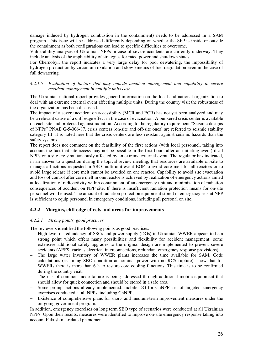damage induced by hydrogen combustion in the containment) needs to be addressed in a SAM program. This issue will be addressed differently depending on whether the SFP is inside or outside the containment as both configurations can lead to specific difficulties to overcome.

Vulnerability analyses of Ukrainian NPPs in case of severe accidents are currently underway. They include analysis of the applicability of strategies for rated power and shutdown states.

For Chernobyl, the report indicates a very large delay for pool dewatering, the impossibility of hydrogen production by zirconium oxidation and slow kinetics of fuel degradation even in the case of full dewatering.

### *4.2.1.5 Evaluation of factors that may impede accident management and capability to severe accident management in multiple units case*

The Ukrainian national report provides general information on the local and national organization to deal with an extreme external event affecting multiple units. During the country visit the robustness of the organization has been discussed.

The impact of a severe accident on accessibility (MCR and ECR) has not yet been analyzed and may be a relevant cause of a cliff edge effect in the case of evacuation. A bunkered crisis center is available on each site and protected against radiation. According to the regulatory requirement "Seismic designs of NPPs" PNAE G-5-006-87, crisis centers (on-site and off-site ones) are referred to seismic stability category III. It is noted here that the crisis centers are less resistant against seismic hazards than the safety systems.

The report does not comment on the feasibility of the first actions (with local personnel, taking into account the fact that site access may not be possible in the first hours after an initiating event) if all NPPs on a site are simultaneously affected by an extreme external event. The regulator has indicated, in an answer to a question during the topical review meeting, that resources are available on-site to manage all actions requested in SBO multi-unit event EOP to avoid core melt for all reactors or to avoid large release if core melt cannot be avoided on one reactor. Capability to avoid site evacuation and loss of control after core melt in one reactor is achieved by realization of emergency actions aimed at localization of radioactivity within containment of an emergency unit and minimization of radiation consequences of accident on NPP site. If there is insufficient radiation protection means for on-site personnel will be used. The amount of radiation protection equipment stored in emergency sets at NPP is sufficient to equip personnel in emergency conditions, including all personal on site.

# **4.2.2 Margins, cliff edge effects and areas for improvements**

### *4.2.2.1 Strong points, good practices*

The reviewers identified the following points as good practices:

- High level of redundancy of SSCs and power supply (DGs) in Ukrainian WWER appears to be a strong point which offers many possibilities and flexibility for accident management; some extensive additional safety upgrades to the original design are implemented to prevent severe accidents (AEFS, various electrical interconnections, redundant emergency response provisions),
- The large water inventory of WWER plants increases the time available for SAM. Code calculations (assuming SBO condition at nominal power with no RCS rupture), show that for WWERs there is more than 6 h to restore core cooling functions. This time is to be confirmed during the country visit.
- The risk of common mode failure is being addressed through additional mobile equipment that should allow for quick connection and should be stored in a safe area,
- Some prompt actions already implemented: mobile DG for ChNPP, set of targeted emergency exercises conducted at all NPPs, including ChNPP,
- Existence of comprehensive plans for short- and medium-term improvement measures under the on-going government program.

In addition, emergency exercises on long term SBO type of scenarios were conducted at all Ukrainian NPPs. Upon their results, measures were identified to improve on-site emergency response taking into account Fukushima-related phenomena.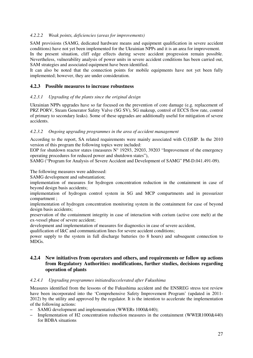### *4.2.2.2 Weak points, deficiencies (areas for improvements)*

SAM provisions (SAMG, dedicated hardware means and equipment qualification in severe accident conditions) have not yet been implemented for the Ukrainian NPPs and it is an area for improvement. In the present situation, cliff edge effects during severe accident progression remain possible. Nevertheless, vulnerability analysis of power units in severe accident conditions has been carried out, SAM strategies and associated equipment have been identified.

It can also be noted that the connection points for mobile equipments have not yet been fully implemented; however, they are under consideration.

# **4.2.3 Possible measures to increase robustness**

### *4.2.3.1 Upgrading of the plants since the original design*

Ukrainian NPPs upgrades have so far focused on the prevention of core damage (e.g. replacement of PRZ PORV, Steam Generator Safety Valve (SG SV), SG makeup, control of ECCS flow rate, control of primary to secondary leaks). Some of these upgrades are additionally useful for mitigation of severe accidents.

### *4.2.3.2 Ongoing upgrading programmes in the area of accident management*

According to the report, SA related requirements were mainly associated with C(I)SIP. In the 2010 version of this program the following topics were included:

EOP for shutdown reactor states (measures N° 19293, 29203, 39203 "Improvement of the emergency operating procedures for reduced power and shutdown states"),

SAMG ("Program for Analysis of Severe Accident and Development of SAMG" PM-D.041.491-09).

The following measures were addressed:

SAMG development and substantiation;

implementation of measures for hydrogen concentration reduction in the containment in case of beyond design basis accidents;

implementation of hydrogen control system in SG and MCP compartments and in pressurizer compartment ;

implementation of hydrogen concentration monitoring system in the containment for case of beyond design basis accidents;

preservation of the containment integrity in case of interaction with corium (active core melt) at the ex-vessel phase of severe accident;

development and implementation of measures for diagnostics in case of severe accident,

qualification of I&C and communication lines for severe accident conditions;

power supply to the system in full discharge batteries (to 8 hours) and subsequent connection to MDGs.

# **4.2.4 New initiatives from operators and others, and requirements or follow up actions from Regulatory Authorities: modifications, further studies, decisions regarding operation of plants**

### *4.2.4.1 Upgrading programmes initiated/accelerated after Fukushima*

Measures identified from the lessons of the Fukushima accident and the ENSREG stress test review have been incorporated into the 'Comprehensive Safety Improvement Program' (updated in 2011- 2012) by the utility and approved by the regulator. It is the intention to accelerate the implementation of the following actions:

- SAMG development and implementation (WWERs 1000&440);
- Implementation of H2 concentration reduction measures in the containment (WWER1000&440) for BDBA situations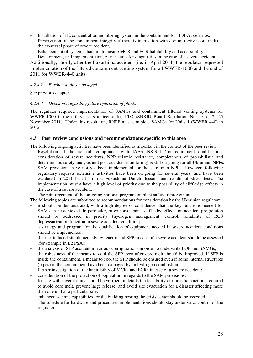- Installation of H2 concentration monitoring system in the containment for BDBA scenarios;
- Preservation of the containment integrity if there is interaction with corium (active core melt) at the ex-vessel phase of severe accident,
- Enhancement of systems that aim to ensure MCR and ECR habitability and accessibility,
- Development, and implementation, of measures for diagnostics in the case of a severe accident.

Additionally, shortly after the Fukushima accident (i.e. in April 2011) the regulator requested implementation of the filtered containment venting system for all WWER-1000 and the end of 2011 for WWER-440 units.

# *4.2.4.2 Further studies envisaged*

See previous chapter.

### *4.2.4.3 Decisions regarding future operation of plants*

The regulator required implementation of SAMGs and containment filtered venting systems for WWER-1000 if the utility seeks a license for LTO (SNRIU Board Resolution No. 13 of 24-25 November 2011). Under this resolution, RNPP must complete SAMGs for Units 1 (WWER 440) in 2012.

# **4.3 Peer review conclusions and recommendations specific to this area**

The following ongoing activities have been identified as important in the context of the peer review:

- Resolution of the non-full compliance with IAEA NS-R-1 (for equipment qualification, consideration of severe accidents, NPP seismic resistance, completeness of probabilistic and deterministic safety analysis and post-accident monitoring) is still on-going for all Ukrainian NPPs.
- SAM provisions have not yet been implemented for the Ukrainian NPPs. However, following regulatory requests extensive activities have been on-going for several years, and have been escalated in 2011 based on first Fukushima Daiichi lessons and results of stress tests. The implementation must a have a high level of priority due to the possibility of cliff-edge effects in the case of a severe accident.
- The reinforcement of the on-going national program on plant safety improvements;
- The following topics are submitted as recommendations for consideration by the Ukrainian regulator:
- it should be demonstrated, with a high degree of confidence, that the key functions needed for SAM can be achieved. In particular, provisions against cliff-edge effects on accident progression should be addressed in priority (hydrogen management, control, reliability of RCS depressurization function in severe accident condition);
- a strategy and program for the qualification of equipment needed in severe accident conditions should be implemented;
- the risk induced simultaneously by reactor and SFP in case of a severe accident should be assessed (for example in L2 PSA);
- the analysis of SFP accident in various configurations in order to underwrite EOP and SAMGs;
- the robustness of the means to cool the SFP even after core melt should be improved. If SFP is inside the containment, a means to cool the SFP should be ensured even if some internal structures (pipes) in the containment have been damaged by an hydrogen combustion;
- further investigation of the habitability of MCRs and ECRs in case of a severe accident;
- consideration of the protection of population in regards to the SAM provisions;
- for site with several units should be verified in details the feasibility of immediate actions required to avoid core melt, prevent large release, and avoid site evacuation for a disaster affecting more than one unit at a particular site;
- enhanced seismic capabilities for the building hosting the crisis center should be assessed. The schedule for hardware and procedures implementations should stay under strict control of the regulator.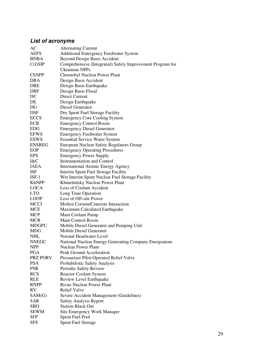# **List of acronyms**

| AC            | <b>Alternating Current</b>                                |
|---------------|-----------------------------------------------------------|
| <b>AEFS</b>   | Additional Emergency Feedwater System                     |
| <b>BDBA</b>   | <b>Beyond Design Basis Accident</b>                       |
| C(I)SIP       | Comprehensive (Integrated) Safety Improvement Program for |
|               | Ukrainian NPPs                                            |
| <b>ChNPP</b>  | Chornobyl Nuclear Power Plant                             |
| <b>DBA</b>    | Design Basis Accident                                     |
| <b>DBE</b>    | Design Basis Earthquake                                   |
| <b>DBF</b>    | Design Basis Flood                                        |
| DC            | <b>Direct Current</b>                                     |
| DE            | Design Earthquake                                         |
| DG            | Diesel Generator                                          |
| <b>DSF</b>    | Dry Spent Fuel Storage Facility                           |
| <b>ECCS</b>   | <b>Emergency Core Cooling System</b>                      |
| <b>ECR</b>    | <b>Emergency Control Room</b>                             |
| <b>EDG</b>    | <b>Emergency Diesel Generator</b>                         |
| <b>EFWS</b>   | <b>Emergency Feedwater System</b>                         |
| <b>ESWS</b>   | <b>Essential Service Water System</b>                     |
| <b>ENSREG</b> | European Nuclear Safety Regulators Group                  |
| EOP           | <b>Emergency Operating Procedures</b>                     |
| <b>EPS</b>    | <b>Emergency Power Supply</b>                             |
| I&C           | <b>Instrumentation and Control</b>                        |
| IAEA          |                                                           |
| <b>ISF</b>    | <b>International Atomic Energy Agency</b>                 |
| $ISF-1$       | Interim Spent Fuel Storage Facility                       |
|               | Wet Interim Spent Nuclear Fuel Storage Facility           |
| <b>KhNPP</b>  | Khmelnitsky Nuclear Power Plant                           |
| <b>LOCA</b>   | Loss of Coolant Accident                                  |
| <b>LTO</b>    | Long Time Operation                                       |
| <b>LOOP</b>   | Loss of Off-site Power                                    |
| <b>MCCI</b>   | Molten Corium/Concrete Interaction                        |
| <b>MCE</b>    | Maximum Calculated Earthquake                             |
| <b>MCP</b>    | Main Coolant Pump                                         |
| <b>MCR</b>    | Main Control Room                                         |
| <b>MDGPU</b>  | Mobile Diesel Generator and Pumping Unit                  |
| <b>MDG</b>    | Mobile Diesel Generator                                   |
| <b>NHL</b>    | Normal Headwater Level                                    |
| <b>NNEGC</b>  | National Nuclear Energy Generating Company Energoatom     |
| <b>NPP</b>    | <b>Nuclear Power Plant</b>                                |
| PGA           | Peak Ground Acceleration                                  |
| PRZ PORV      | Pressurizer Pilot-Operated Relief Valve                   |
| <b>PSA</b>    | Probabilistic Safety Analysis                             |
| <b>PSR</b>    | Periodic Safety Review                                    |
| <b>RCS</b>    | <b>Reactor Coolant System</b>                             |
| <b>RLE</b>    | Review Level Earthquake                                   |
| <b>RNPP</b>   | <b>Rivne Nuclear Power Plant</b>                          |
| RV            | <b>Relief Valve</b>                                       |
| SAM(G)        | Severe Accident Management (Guidelines)                   |
| <b>SAR</b>    | <b>Safety Analysis Report</b>                             |
| <b>SBO</b>    | <b>Station Black Out</b>                                  |
| <b>SEWM</b>   | Site Emergency Work Manager                               |
| <b>SFP</b>    | Spent Fuel Pool                                           |
| <b>SFS</b>    | <b>Spent Fuel Storage</b>                                 |
|               |                                                           |